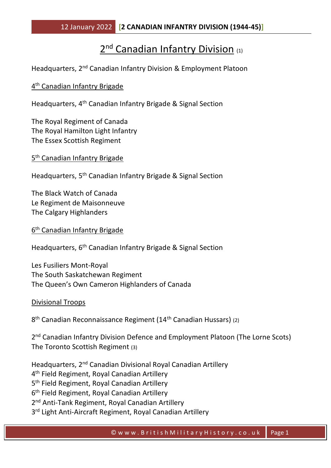# 2<sup>nd</sup> Canadian Infantry Division (1)

Headquarters, 2nd Canadian Infantry Division & Employment Platoon

### 4<sup>th</sup> Canadian Infantry Brigade

Headquarters, 4th Canadian Infantry Brigade & Signal Section

The Royal Regiment of Canada The Royal Hamilton Light Infantry The Essex Scottish Regiment

5<sup>th</sup> Canadian Infantry Brigade

Headquarters, 5<sup>th</sup> Canadian Infantry Brigade & Signal Section

The Black Watch of Canada Le Regiment de Maisonneuve The Calgary Highlanders

6<sup>th</sup> Canadian Infantry Brigade

Headquarters, 6<sup>th</sup> Canadian Infantry Brigade & Signal Section

Les Fusiliers Mont-Royal The South Saskatchewan Regiment The Queen's Own Cameron Highlanders of Canada

Divisional Troops

8<sup>th</sup> Canadian Reconnaissance Regiment (14<sup>th</sup> Canadian Hussars) (2)

2<sup>nd</sup> Canadian Infantry Division Defence and Employment Platoon (The Lorne Scots) The Toronto Scottish Regiment (3)

Headquarters, 2nd Canadian Divisional Royal Canadian Artillery 4 th Field Regiment, Royal Canadian Artillery 5<sup>th</sup> Field Regiment, Royal Canadian Artillery 6<sup>th</sup> Field Regiment, Royal Canadian Artillery 2<sup>nd</sup> Anti-Tank Regiment, Royal Canadian Artillery 3<sup>rd</sup> Light Anti-Aircraft Regiment, Royal Canadian Artillery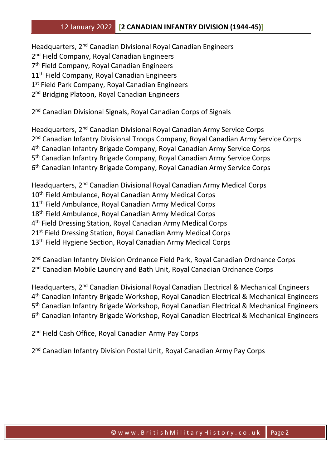## 12 January 2022 **[2 CANADIAN INFANTRY DIVISION (1944-45)]**

Headquarters, 2nd Canadian Divisional Royal Canadian Engineers 2<sup>nd</sup> Field Company, Royal Canadian Engineers 7 th Field Company, Royal Canadian Engineers 11<sup>th</sup> Field Company, Royal Canadian Engineers 1st Field Park Company, Royal Canadian Engineers 2<sup>nd</sup> Bridging Platoon, Royal Canadian Engineers

2<sup>nd</sup> Canadian Divisional Signals, Royal Canadian Corps of Signals

Headquarters, 2nd Canadian Divisional Royal Canadian Army Service Corps 2<sup>nd</sup> Canadian Infantry Divisional Troops Company, Royal Canadian Army Service Corps 4 th Canadian Infantry Brigade Company, Royal Canadian Army Service Corps 5 th Canadian Infantry Brigade Company, Royal Canadian Army Service Corps 6 th Canadian Infantry Brigade Company, Royal Canadian Army Service Corps

Headquarters, 2nd Canadian Divisional Royal Canadian Army Medical Corps 10<sup>th</sup> Field Ambulance, Royal Canadian Army Medical Corps 11<sup>th</sup> Field Ambulance, Royal Canadian Army Medical Corps 18<sup>th</sup> Field Ambulance, Royal Canadian Army Medical Corps 4 th Field Dressing Station, Royal Canadian Army Medical Corps 21<sup>st</sup> Field Dressing Station, Royal Canadian Army Medical Corps 13<sup>th</sup> Field Hygiene Section, Royal Canadian Army Medical Corps

2<sup>nd</sup> Canadian Infantry Division Ordnance Field Park, Royal Canadian Ordnance Corps 2<sup>nd</sup> Canadian Mobile Laundry and Bath Unit, Royal Canadian Ordnance Corps

Headquarters, 2nd Canadian Divisional Royal Canadian Electrical & Mechanical Engineers 4 th Canadian Infantry Brigade Workshop, Royal Canadian Electrical & Mechanical Engineers 5<sup>th</sup> Canadian Infantry Brigade Workshop, Royal Canadian Electrical & Mechanical Engineers 6 th Canadian Infantry Brigade Workshop, Royal Canadian Electrical & Mechanical Engineers

2<sup>nd</sup> Field Cash Office, Royal Canadian Army Pay Corps

2<sup>nd</sup> Canadian Infantry Division Postal Unit, Royal Canadian Army Pay Corps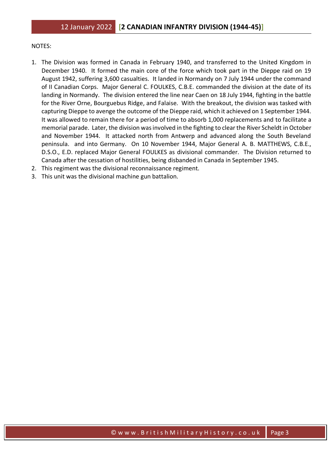#### NOTES:

- 1. The Division was formed in Canada in February 1940, and transferred to the United Kingdom in December 1940. It formed the main core of the force which took part in the Dieppe raid on 19 August 1942, suffering 3,600 casualties. It landed in Normandy on 7 July 1944 under the command of II Canadian Corps. Major General C. FOULKES, C.B.E. commanded the division at the date of its landing in Normandy. The division entered the line near Caen on 18 July 1944, fighting in the battle for the River Orne, Bourguebus Ridge, and Falaise. With the breakout, the division was tasked with capturing Dieppe to avenge the outcome of the Dieppe raid, which it achieved on 1 September 1944. It was allowed to remain there for a period of time to absorb 1,000 replacements and to facilitate a memorial parade. Later, the division was involved in the fighting to clear the River Scheldt in October and November 1944. It attacked north from Antwerp and advanced along the South Beveland peninsula. and into Germany. On 10 November 1944, Major General A. B. MATTHEWS, C.B.E., D.S.O., E.D. replaced Major General FOULKES as divisional commander. The Division returned to Canada after the cessation of hostilities, being disbanded in Canada in September 1945.
- 2. This regiment was the divisional reconnaissance regiment.
- 3. This unit was the divisional machine gun battalion.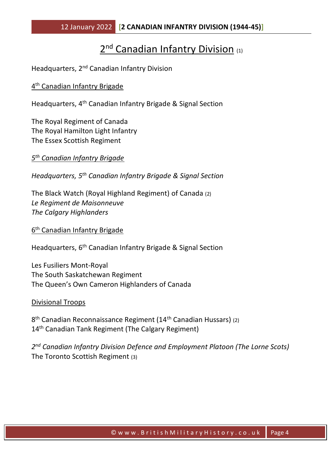# 2<sup>nd</sup> Canadian Infantry Division (1)

Headquarters, 2<sup>nd</sup> Canadian Infantry Division

### 4<sup>th</sup> Canadian Infantry Brigade

Headquarters, 4th Canadian Infantry Brigade & Signal Section

The Royal Regiment of Canada The Royal Hamilton Light Infantry The Essex Scottish Regiment

*5 th Canadian Infantry Brigade*

*Headquarters, 5th Canadian Infantry Brigade & Signal Section*

The Black Watch (Royal Highland Regiment) of Canada (2) *Le Regiment de Maisonneuve The Calgary Highlanders*

6<sup>th</sup> Canadian Infantry Brigade

Headquarters, 6<sup>th</sup> Canadian Infantry Brigade & Signal Section

Les Fusiliers Mont-Royal The South Saskatchewan Regiment The Queen's Own Cameron Highlanders of Canada

Divisional Troops

8<sup>th</sup> Canadian Reconnaissance Regiment (14<sup>th</sup> Canadian Hussars) (2) 14<sup>th</sup> Canadian Tank Regiment (The Calgary Regiment)

*2 nd Canadian Infantry Division Defence and Employment Platoon (The Lorne Scots)* The Toronto Scottish Regiment (3)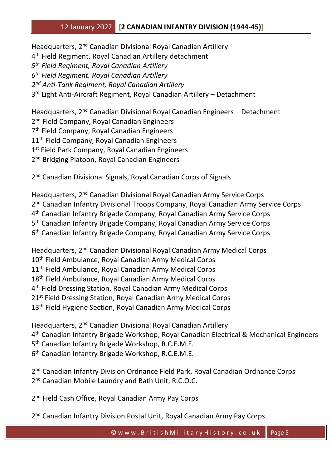## 12 January 2022 **[2 CANADIAN INFANTRY DIVISION (1944-45)]**

Headquarters, 2nd Canadian Divisional Royal Canadian Artillery th Field Regiment, Royal Canadian Artillery detachment *th Field Regiment, Royal Canadian Artillery th Field Regiment, Royal Canadian Artillery nd Anti-Tank Regiment, Royal Canadian Artillery* rd Light Anti-Aircraft Regiment, Royal Canadian Artillery – Detachment

Headquarters, 2<sup>nd</sup> Canadian Divisional Royal Canadian Engineers - Detachment 2<sup>nd</sup> Field Company, Royal Canadian Engineers 7 th Field Company, Royal Canadian Engineers 11<sup>th</sup> Field Company, Royal Canadian Engineers 1 st Field Park Company, Royal Canadian Engineers 2<sup>nd</sup> Bridging Platoon, Royal Canadian Engineers

2<sup>nd</sup> Canadian Divisional Signals, Royal Canadian Corps of Signals

Headquarters, 2nd Canadian Divisional Royal Canadian Army Service Corps 2<sup>nd</sup> Canadian Infantry Divisional Troops Company, Royal Canadian Army Service Corps 4 th Canadian Infantry Brigade Company, Royal Canadian Army Service Corps 5<sup>th</sup> Canadian Infantry Brigade Company, Royal Canadian Army Service Corps 6 th Canadian Infantry Brigade Company, Royal Canadian Army Service Corps

Headquarters, 2nd Canadian Divisional Royal Canadian Army Medical Corps 10<sup>th</sup> Field Ambulance, Royal Canadian Army Medical Corps 11<sup>th</sup> Field Ambulance, Royal Canadian Army Medical Corps 18<sup>th</sup> Field Ambulance, Royal Canadian Army Medical Corps 4 th Field Dressing Station, Royal Canadian Army Medical Corps 21<sup>st</sup> Field Dressing Station, Royal Canadian Army Medical Corps 13<sup>th</sup> Field Hygiene Section, Royal Canadian Army Medical Corps

Headquarters, 2nd Canadian Divisional Royal Canadian Artillery th Canadian Infantry Brigade Workshop, Royal Canadian Electrical & Mechanical Engineers th Canadian Infantry Brigade Workshop, R.C.E.M.E. th Canadian Infantry Brigade Workshop, R.C.E.M.E.

2<sup>nd</sup> Canadian Infantry Division Ordnance Field Park, Royal Canadian Ordnance Corps 2<sup>nd</sup> Canadian Mobile Laundry and Bath Unit, R.C.O.C.

2<sup>nd</sup> Field Cash Office, Royal Canadian Army Pay Corps

2<sup>nd</sup> Canadian Infantry Division Postal Unit, Royal Canadian Army Pay Corps